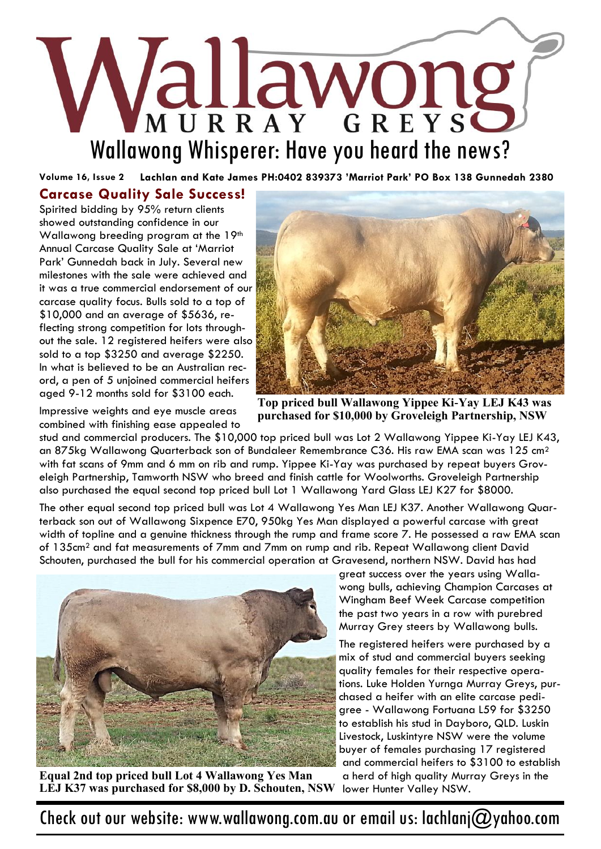# Wallawong Whisperer: Have you heard the news?

**Volume 16, Issue 2 Lachlan and Kate James PH:0402 839373 'Marriot Park' PO Box 138 Gunnedah 2380**

#### **Carcase Quality Sale Success!**

Spirited bidding by 95% return clients showed outstanding confidence in our Wallawong breeding program at the 19th Annual Carcase Quality Sale at 'Marriot Park' Gunnedah back in July. Several new milestones with the sale were achieved and it was a true commercial endorsement of our carcase quality focus. Bulls sold to a top of \$10,000 and an average of \$5636, reflecting strong competition for lots throughout the sale. 12 registered heifers were also sold to a top \$3250 and average \$2250. In what is believed to be an Australian record, a pen of 5 unjoined commercial heifers aged 9-12 months sold for \$3100 each.



**Top priced bull Wallawong Yippee Ki-Yay LEJ K43 was purchased for \$10,000 by Groveleigh Partnership, NSW**

Impressive weights and eye muscle areas combined with finishing ease appealed to

stud and commercial producers. The \$10,000 top priced bull was Lot 2 Wallawong Yippee Ki-Yay LEJ K43, an 875kg Wallawong Quarterback son of Bundaleer Remembrance C36. His raw EMA scan was 125 cm<sup>2</sup> with fat scans of 9mm and 6 mm on rib and rump. Yippee Ki-Yay was purchased by repeat buyers Groveleigh Partnership, Tamworth NSW who breed and finish cattle for Woolworths. Groveleigh Partnership also purchased the equal second top priced bull Lot 1 Wallawong Yard Glass LEJ K27 for \$8000.

The other equal second top priced bull was Lot 4 Wallawong Yes Man LEJ K37. Another Wallawong Quarterback son out of Wallawong Sixpence E70, 950kg Yes Man displayed a powerful carcase with great width of topline and a genuine thickness through the rump and frame score 7. He possessed a raw EMA scan of 135cm<sup>2</sup> and fat measurements of 7mm and 7mm on rump and rib. Repeat Wallawong client David Schouten, purchased the bull for his commercial operation at Gravesend, northern NSW. David has had



**Equal 2nd top priced bull Lot 4 Wallawong Yes Man LEJ K37 was purchased for \$8,000 by D. Schouten, NSW**

great success over the years using Wallawong bulls, achieving Champion Carcases at Wingham Beef Week Carcase competition the past two years in a row with purebred Murray Grey steers by Wallawong bulls.

The registered heifers were purchased by a mix of stud and commercial buyers seeking quality females for their respective operations. Luke Holden Yurnga Murray Greys, purchased a heifer with an elite carcase pedigree - Wallawong Fortuana L59 for \$3250 to establish his stud in Dayboro, QLD. Luskin Livestock, Luskintyre NSW were the volume buyer of females purchasing 17 registered and commercial heifers to \$3100 to establish a herd of high quality Murray Greys in the lower Hunter Valley NSW.

Check out our website: www.wallawong.com.au or email us: lachlanj@yahoo.com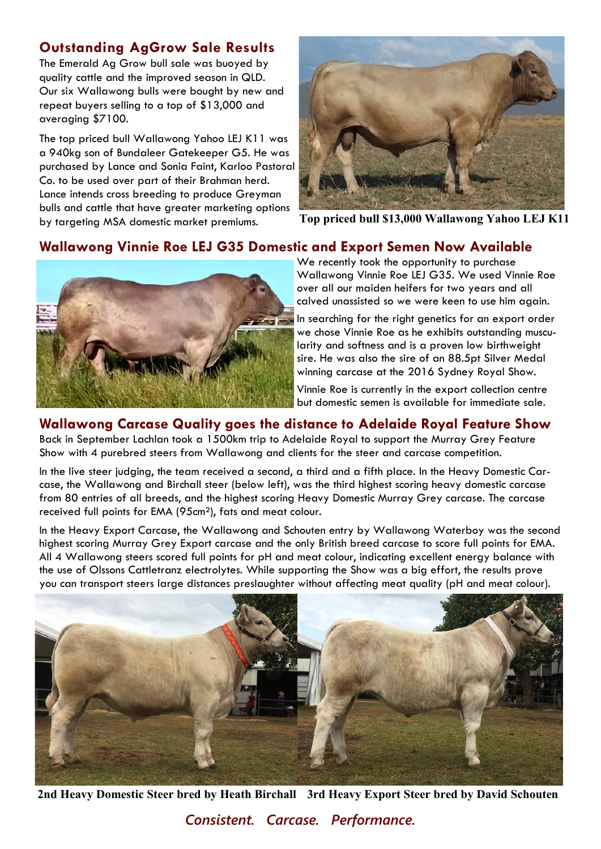# **Outstanding AgGrow Sale Results**

The Emerald Ag Grow bull sale was buoyed by quality cattle and the improved season in QLD. Our six Wallawong bulls were bought by new and repeat buyers selling to a top of \$13,000 and averaging \$7100.

The top priced bull Wallawong Yahoo LEJ K11 was a 940kg son of Bundaleer Gatekeeper G5. He was purchased by Lance and Sonia Faint, Karloo Pastoral Co. to be used over part of their Brahman herd. Lance intends cross breeding to produce Greyman bulls and cattle that have greater marketing options by targeting MSA domestic market premiums. **Top priced bull \$13,000 Wallawong Yahoo LEJ K11**



# **Wallawong Vinnie Roe LEJ G35 Domestic and Export Semen Now Available**



We recently took the opportunity to purchase Wallawong Vinnie Roe LEJ G35. We used Vinnie Roe over all our maiden heifers for two years and all calved unassisted so we were keen to use him again.

In searching for the right genetics for an export order we chose Vinnie Roe as he exhibits outstanding muscularity and softness and is a proven low birthweight sire. He was also the sire of an 88.5pt Silver Medal winning carcase at the 2016 Sydney Royal Show.

Vinnie Roe is currently in the export collection centre but domestic semen is available for immediate sale.

## **Wallawong Carcase Quality goes the distance to Adelaide Royal Feature Show**

Back in September Lachlan took a 1500km trip to Adelaide Royal to support the Murray Grey Feature Show with 4 purebred steers from Wallawong and clients for the steer and carcase competition.

In the live steer judging, the team received a second, a third and a fifth place. In the Heavy Domestic Carcase, the Wallawong and Birchall steer (below left), was the third highest scoring heavy domestic carcase from 80 entries of all breeds, and the highest scoring Heavy Domestic Murray Grey carcase. The carcase received full points for EMA (95cm²), fats and meat colour.

In the Heavy Export Carcase, the Wallawong and Schouten entry by Wallawong Waterboy was the second highest scoring Murray Grey Export carcase and the only British breed carcase to score full points for EMA. All 4 Wallawong steers scored full points for pH and meat colour, indicating excellent energy balance with the use of Olssons Cattletranz electrolytes. While supporting the Show was a big effort, the results prove you can transport steers large distances preslaughter without affecting meat quality (pH and meat colour).



**2nd Heavy Domestic Steer bred by Heath Birchall 3rd Heavy Export Steer bred by David Schouten**

*Consistent. Carcase. Performance.*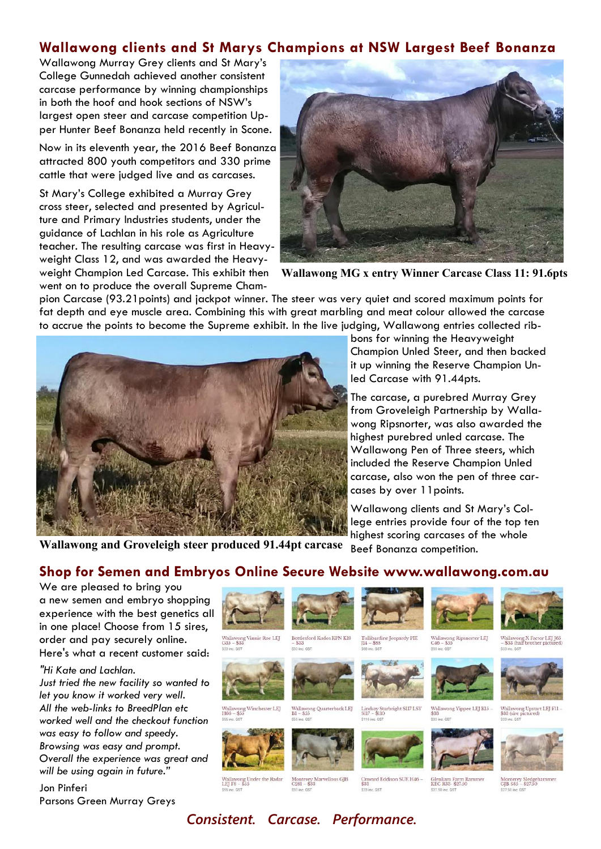#### **Wallawong clients and St Marys Champions at NSW Largest Beef Bonanza**

Wallawong Murray Grey clients and St Mary's College Gunnedah achieved another consistent carcase performance by winning championships in both the hoof and hook sections of NSW's largest open steer and carcase competition Upper Hunter Beef Bonanza held recently in Scone.

Now in its eleventh year, the 2016 Beef Bonanza attracted 800 youth competitors and 330 prime cattle that were judged live and as carcases.

St Mary's College exhibited a Murray Grey cross steer, selected and presented by Agriculture and Primary Industries students, under the guidance of Lachlan in his role as Agriculture teacher. The resulting carcase was first in Heavyweight Class 12, and was awarded the Heavyweight Champion Led Carcase. This exhibit then went on to produce the overall Supreme Cham-



**Wallawong MG x entry Winner Carcase Class 11: 91.6pts**

pion Carcase (93.21points) and jackpot winner. The steer was very quiet and scored maximum points for fat depth and eye muscle area. Combining this with great marbling and meat colour allowed the carcase to accrue the points to become the Supreme exhibit. In the live judging, Wallawong entries collected rib-



bons for winning the Heavyweight Champion Unled Steer, and then backed it up winning the Reserve Champion Unled Carcase with 91.44pts.

The carcase, a purebred Murray Grey from Groveleigh Partnership by Wallawong Ripsnorter, was also awarded the highest purebred unled carcase. The Wallawong Pen of Three steers, which included the Reserve Champion Unled carcase, also won the pen of three carcases by over 11points.

Wallawong clients and St Mary's College entries provide four of the top ten highest scoring carcases of the whole

Beef Bonanza competition. **Wallawong and Groveleigh steer produced 91.44pt carcase**

#### **Shop for Semen and Embryos Online Secure Website www.wallawong.com.au**

We are pleased to bring you a new semen and embryo shopping experience with the best genetics all in one place! Choose from 15 sires, order and pay securely online. Here's what a recent customer said:

*"Hi Kate and Lachlan.*

*Just tried the new facility so wanted to let you know it worked very well. All the web-links to BreedPlan etc worked well and the checkout function was easy to follow and speedy. Browsing was easy and prompt. Overall the experience was great and will be using again in future."*

Jon Pinferi Parsons Green Murray Greys



Wallawong Vinnie Roe LEJ<br>G35 – \$33



wong Winchester LEJ<br>- \$55



Bottlesford Kudos KPN K18<br> $\$33$ 





Lindsay Starbright SI17 LSY<br>SI17 - \$110







Wallawong Ripsnorter LEJ<br>C46 – \$55



Wallawong X Factor LEJ J65<br>- \$33 (half brother pictured



Wallawong Yippee LEJ Kl<br/>5  $\sim$  \$33 Wallawong Upstart LEJ F11<br>\$33 (sire pictured)



Monterey Siedge<br>GJB S85 - \$27.50

 $\frac{\log n}{\log n}$ wallawo<br>LEI F8 –

Monterey Marvellous GJB<br>C281 – \$33

*Consistent. Carcase. Performance.*

Onward Eddison SUE H46<br>\$33 \$33 inc. GST